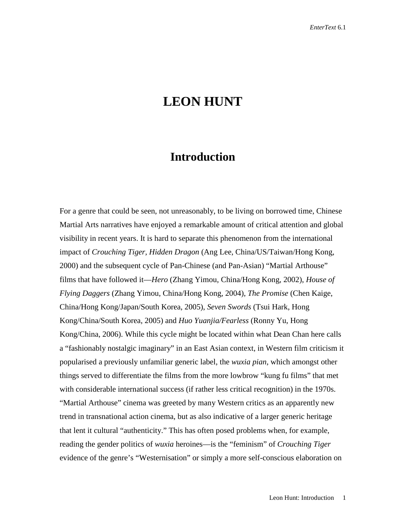## **LEON HUNT**

## **Introduction**

For a genre that could be seen, not unreasonably, to be living on borrowed time, Chinese Martial Arts narratives have enjoyed a remarkable amount of critical attention and global visibility in recent years. It is hard to separate this phenomenon from the international impact of *Crouching Tiger, Hidden Dragon* (Ang Lee, China/US/Taiwan/Hong Kong, 2000) and the subsequent cycle of Pan-Chinese (and Pan-Asian) "Martial Arthouse" films that have followed it—*Hero* (Zhang Yimou, China/Hong Kong, 2002), *House of Flying Daggers* (Zhang Yimou, China/Hong Kong, 2004), *The Promise* (Chen Kaige, China/Hong Kong/Japan/South Korea, 2005), *Seven Swords* (Tsui Hark, Hong Kong/China/South Korea, 2005) and *Huo Yuanjia/Fearless* (Ronny Yu, Hong Kong/China, 2006). While this cycle might be located within what Dean Chan here calls a "fashionably nostalgic imaginary" in an East Asian context, in Western film criticism it popularised a previously unfamiliar generic label, the *wuxia pian*, which amongst other things served to differentiate the films from the more lowbrow "kung fu films" that met with considerable international success (if rather less critical recognition) in the 1970s. "Martial Arthouse" cinema was greeted by many Western critics as an apparently new trend in transnational action cinema, but as also indicative of a larger generic heritage that lent it cultural "authenticity." This has often posed problems when, for example, reading the gender politics of *wuxia* heroines—is the "feminism" of *Crouching Tiger*  evidence of the genre's "Westernisation" or simply a more self-conscious elaboration on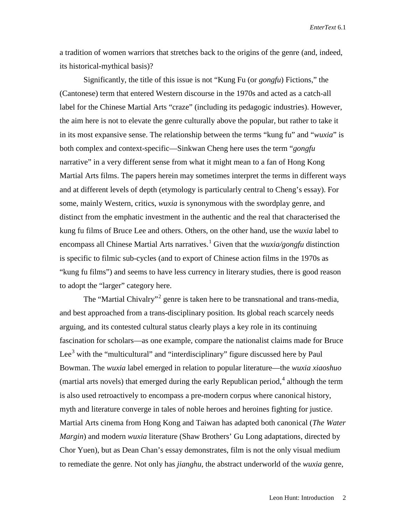a tradition of women warriors that stretches back to the origins of the genre (and, indeed, its historical-mythical basis)?

Significantly, the title of this issue is not "Kung Fu (or *gongfu*) Fictions," the (Cantonese) term that entered Western discourse in the 1970s and acted as a catch-all label for the Chinese Martial Arts "craze" (including its pedagogic industries). However, the aim here is not to elevate the genre culturally above the popular, but rather to take it in its most expansive sense. The relationship between the terms "kung fu" and "*wuxia*" is both complex and context-specific—Sinkwan Cheng here uses the term "*gongfu*  narrative" in a very different sense from what it might mean to a fan of Hong Kong Martial Arts films. The papers herein may sometimes interpret the terms in different ways and at different levels of depth (etymology is particularly central to Cheng's essay). For some, mainly Western, critics, *wuxia* is synonymous with the swordplay genre, and distinct from the emphatic investment in the authentic and the real that characterised the kung fu films of Bruce Lee and others. Others, on the other hand, use the *wuxia* label to encompass all Chinese Martial Arts narratives. [1](#page-4-0) Given that the *wuxia/gongfu* distinction is specific to filmic sub-cycles (and to export of Chinese action films in the 1970s as "kung fu films") and seems to have less currency in literary studies, there is good reason to adopt the "larger" category here.

The "Martial Chivalry"<sup>[2](#page-4-1)</sup> genre is taken here to be transnational and trans-media, and best approached from a trans-disciplinary position. Its global reach scarcely needs arguing, and its contested cultural status clearly plays a key role in its continuing fascination for scholars—as one example, compare the nationalist claims made for Bruce Lee<sup>[3](#page-4-2)</sup> with the "multicultural" and "interdisciplinary" figure discussed here by Paul Bowman. The *wuxia* label emerged in relation to popular literature—the *wuxia xiaoshuo*  (martial arts novels) that emerged during the early Republican period,  $4$  although the term is also used retroactively to encompass a pre-modern corpus where canonical history, myth and literature converge in tales of noble heroes and heroines fighting for justice. Martial Arts cinema from Hong Kong and Taiwan has adapted both canonical (*The Water Margin*) and modern *wuxia* literature (Shaw Brothers' Gu Long adaptations, directed by Chor Yuen), but as Dean Chan's essay demonstrates, film is not the only visual medium to remediate the genre. Not only has *jianghu*, the abstract underworld of the *wuxia* genre,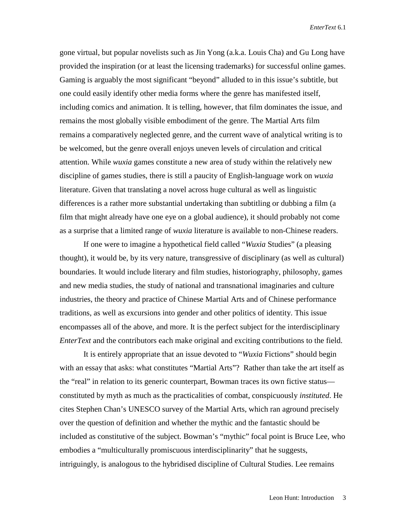gone virtual, but popular novelists such as Jin Yong (a.k.a. Louis Cha) and Gu Long have provided the inspiration (or at least the licensing trademarks) for successful online games. Gaming is arguably the most significant "beyond" alluded to in this issue's subtitle, but one could easily identify other media forms where the genre has manifested itself, including comics and animation. It is telling, however, that film dominates the issue, and remains the most globally visible embodiment of the genre. The Martial Arts film remains a comparatively neglected genre, and the current wave of analytical writing is to be welcomed, but the genre overall enjoys uneven levels of circulation and critical attention. While *wuxia* games constitute a new area of study within the relatively new discipline of games studies, there is still a paucity of English-language work on *wuxia*  literature. Given that translating a novel across huge cultural as well as linguistic differences is a rather more substantial undertaking than subtitling or dubbing a film (a film that might already have one eye on a global audience), it should probably not come as a surprise that a limited range of *wuxia* literature is available to non-Chinese readers.

If one were to imagine a hypothetical field called "*Wuxia* Studies" (a pleasing thought), it would be, by its very nature, transgressive of disciplinary (as well as cultural) boundaries. It would include literary and film studies, historiography, philosophy, games and new media studies, the study of national and transnational imaginaries and culture industries, the theory and practice of Chinese Martial Arts and of Chinese performance traditions, as well as excursions into gender and other politics of identity. This issue encompasses all of the above, and more. It is the perfect subject for the interdisciplinary *EnterText* and the contributors each make original and exciting contributions to the field.

It is entirely appropriate that an issue devoted to "*Wuxia* Fictions" should begin with an essay that asks: what constitutes "Martial Arts"? Rather than take the art itself as the "real" in relation to its generic counterpart, Bowman traces its own fictive status constituted by myth as much as the practicalities of combat, conspicuously *instituted*. He cites Stephen Chan's UNESCO survey of the Martial Arts, which ran aground precisely over the question of definition and whether the mythic and the fantastic should be included as constitutive of the subject. Bowman's "mythic" focal point is Bruce Lee, who embodies a "multiculturally promiscuous interdisciplinarity" that he suggests, intriguingly, is analogous to the hybridised discipline of Cultural Studies. Lee remains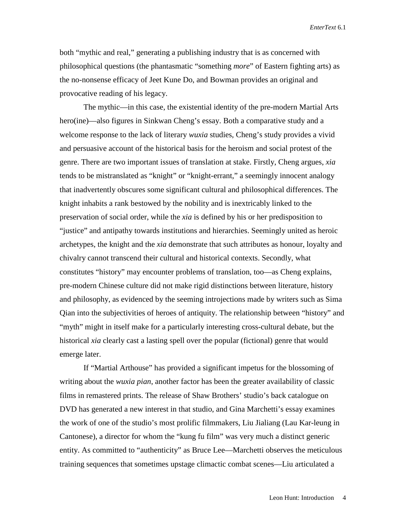both "mythic and real," generating a publishing industry that is as concerned with philosophical questions (the phantasmatic "something *more*" of Eastern fighting arts) as the no-nonsense efficacy of Jeet Kune Do, and Bowman provides an original and provocative reading of his legacy.

The mythic—in this case, the existential identity of the pre-modern Martial Arts hero(ine)—also figures in Sinkwan Cheng's essay. Both a comparative study and a welcome response to the lack of literary *wuxia* studies, Cheng's study provides a vivid and persuasive account of the historical basis for the heroism and social protest of the genre. There are two important issues of translation at stake. Firstly, Cheng argues, *xia*  tends to be mistranslated as "knight" or "knight-errant," a seemingly innocent analogy that inadvertently obscures some significant cultural and philosophical differences. The knight inhabits a rank bestowed by the nobility and is inextricably linked to the preservation of social order, while the *xia* is defined by his or her predisposition to "justice" and antipathy towards institutions and hierarchies. Seemingly united as heroic archetypes, the knight and the *xia* demonstrate that such attributes as honour, loyalty and chivalry cannot transcend their cultural and historical contexts. Secondly, what constitutes "history" may encounter problems of translation, too—as Cheng explains, pre-modern Chinese culture did not make rigid distinctions between literature, history and philosophy, as evidenced by the seeming introjections made by writers such as Sima Qian into the subjectivities of heroes of antiquity. The relationship between "history" and "myth" might in itself make for a particularly interesting cross-cultural debate, but the historical *xia* clearly cast a lasting spell over the popular (fictional) genre that would emerge later.

If "Martial Arthouse" has provided a significant impetus for the blossoming of writing about the *wuxia pian*, another factor has been the greater availability of classic films in remastered prints. The release of Shaw Brothers' studio's back catalogue on DVD has generated a new interest in that studio, and Gina Marchetti's essay examines the work of one of the studio's most prolific filmmakers, Liu Jialiang (Lau Kar-leung in Cantonese), a director for whom the "kung fu film" was very much a distinct generic entity. As committed to "authenticity" as Bruce Lee—Marchetti observes the meticulous training sequences that sometimes upstage climactic combat scenes—Liu articulated a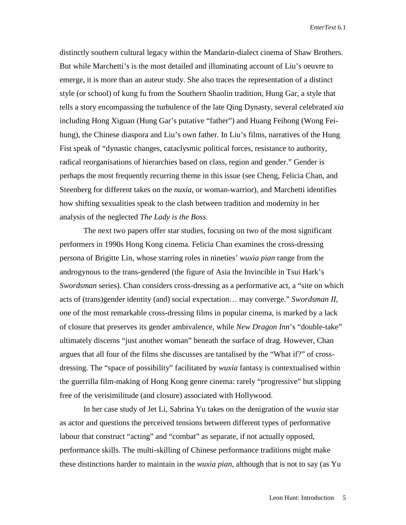distinctly southern cultural legacy within the Mandarin-dialect cinema of Shaw Brothers. But while Marchetti's is the most detailed and illuminating account of Liu's oeuvre to emerge, it is more than an auteur study. She also traces the representation of a distinct style (or school) of kung fu from the Southern Shaolin tradition, Hung Gar, a style that tells a story encompassing the turbulence of the late Qing Dynasty, several celebrated *xia*  including Hong Xiguan (Hung Gar's putative "father") and Huang Feihong (Wong Feihung), the Chinese diaspora and Liu's own father. In Liu's films, narratives of the Hung Fist speak of "dynastic changes, cataclysmic political forces, resistance to authority, radical reorganisations of hierarchies based on class, region and gender." Gender is perhaps the most frequently recurring theme in this issue (see Cheng, Felicia Chan, and Steenberg for different takes on the *nuxia*, or woman-warrior), and Marchetti identifies how shifting sexualities speak to the clash between tradition and modernity in her analysis of the neglected *The Lady is the Boss.*

<span id="page-4-3"></span><span id="page-4-2"></span><span id="page-4-1"></span><span id="page-4-0"></span>The next two papers offer star studies, focusing on two of the most significant performers in 1990s Hong Kong cinema. Felicia Chan examines the cross-dressing persona of Brigitte Lin, whose starring roles in nineties' *wuxia pian* range from the androgynous to the trans-gendered (the figure of Asia the Invincible in Tsui Hark's *Swordsman* series). Chan considers cross-dressing as a performative act, a "site on which acts of (trans)gender identity (and) social expectation… may converge." *Swordsman II*, one of the most remarkable cross-dressing films in popular cinema, is marked by a lack of closure that preserves its gender ambivalence, while *New Dragon Inn*'s "double-take" ultimately discerns "just another woman" beneath the surface of drag. However, Chan argues that all four of the films she discusses are tantalised by the "What if?" of crossdressing. The "space of possibility" facilitated by *wuxia* fantasy is contextualised within the guerrilla film-making of Hong Kong genre cinema: rarely "progressive" but slipping free of the verisimilitude (and closure) associated with Hollywood.

In her case study of Jet Li, Sabrina Yu takes on the denigration of the *wuxia* star as actor and questions the perceived tensions between different types of performative labour that construct "acting" and "combat" as separate, if not actually opposed, performance skills. The multi-skilling of Chinese performance traditions might make these distinctions harder to maintain in the *wuxia pian*, although that is not to say (as Yu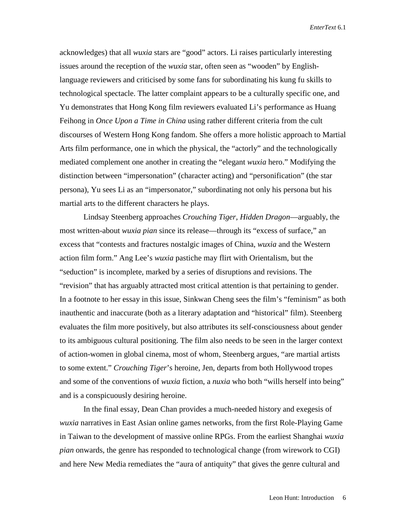acknowledges) that all *wuxia* stars are "good" actors. Li raises particularly interesting issues around the reception of the *wuxia* star, often seen as "wooden" by Englishlanguage reviewers and criticised by some fans for subordinating his kung fu skills to technological spectacle. The latter complaint appears to be a culturally specific one, and Yu demonstrates that Hong Kong film reviewers evaluated Li's performance as Huang Feihong in *Once Upon a Time in China* using rather different criteria from the cult discourses of Western Hong Kong fandom. She offers a more holistic approach to Martial Arts film performance, one in which the physical, the "actorly" and the technologically mediated complement one another in creating the "elegant *wuxia* hero." Modifying the distinction between "impersonation" (character acting) and "personification" (the star persona), Yu sees Li as an "impersonator," subordinating not only his persona but his martial arts to the different characters he plays.

Lindsay Steenberg approaches *Crouching Tiger, Hidden Dragon*—arguably, the most written-about *wuxia pian* since its release—through its "excess of surface," an excess that "contests and fractures nostalgic images of China, *wuxia* and the Western action film form." Ang Lee's *wuxia* pastiche may flirt with Orientalism, but the "seduction" is incomplete, marked by a series of disruptions and revisions. The "revision" that has arguably attracted most critical attention is that pertaining to gender. In a footnote to her essay in this issue, Sinkwan Cheng sees the film's "feminism" as both inauthentic and inaccurate (both as a literary adaptation and "historical" film). Steenberg evaluates the film more positively, but also attributes its self-consciousness about gender to its ambiguous cultural positioning. The film also needs to be seen in the larger context of action-women in global cinema, most of whom, Steenberg argues, "are martial artists to some extent." *Crouching Tiger*'s heroine, Jen, departs from both Hollywood tropes and some of the conventions of *wuxia* fiction, a *nuxia* who both "wills herself into being" and is a conspicuously desiring heroine.

In the final essay, Dean Chan provides a much-needed history and exegesis of *wuxia* narratives in East Asian online games networks, from the first Role-Playing Game in Taiwan to the development of massive online RPGs. From the earliest Shanghai *wuxia pian* onwards, the genre has responded to technological change (from wirework to CGI) and here New Media remediates the "aura of antiquity" that gives the genre cultural and